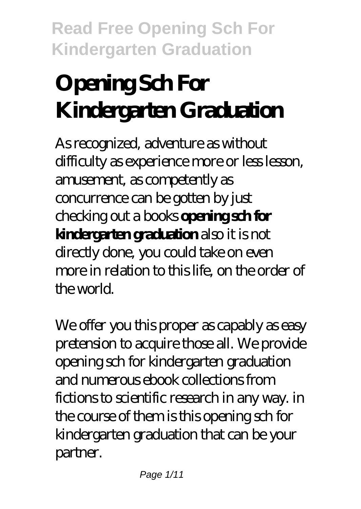# **Opening Sch For Kindergarten Graduation**

As recognized, adventure as without difficulty as experience more or less lesson, amusement, as competently as concurrence can be gotten by just checking out a books **opening sch for kindergarten graduation** also it is not directly done, you could take on even more in relation to this life, on the order of the world.

We offer you this proper as capably as easy pretension to acquire those all. We provide opening sch for kindergarten graduation and numerous ebook collections from fictions to scientific research in any way. in the course of them is this opening sch for kindergarten graduation that can be your partner.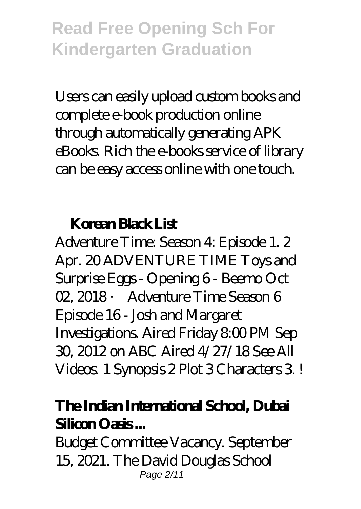Users can easily upload custom books and complete e-book production online through automatically generating APK eBooks. Rich the e-books service of library can be easy access online with one touch.

#### **Korean Black List**

Adventure Time: Season 4: Episode 1. 2 Apr. 20 ADVENTURE TIME Toys and Surprise Eggs - Opening 6 - Beemo Oct 02, 2018 · Adventure Time Season 6 Episode 16 - Josh and Margaret Investigations. Aired Friday 800 PM Sep 30, 2012 on ABC Aired 4/27/18 See All Videos. 1 Synopsis 2 Plot 3 Characters 3 !

#### **The Indian International School, Dubai Silicon Oasis ...**

Budget Committee Vacancy. September 15, 2021. The David Douglas School Page 2/11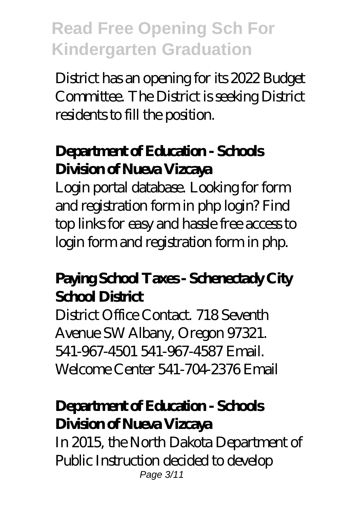District has an opening for its 2022 Budget Committee. The District is seeking District residents to fill the position.

### **Department of Education - Schools Division of Nueva Vizcaya**

Login portal database. Looking for form and registration form in php login? Find top links for easy and hassle free access to login form and registration form in php.

### **Paying School Taxes - Schenectady City School District**

District Office Contact. 718 Seventh Avenue SW Albany, Oregon 97321. 541-967-4501 541-967-4587 Email. Welcome Center 541-704-2376 Email

### **Department of Education - Schools Division of Nueva Vizcaya**

In 2015, the North Dakota Department of Public Instruction decided to develop Page 3/11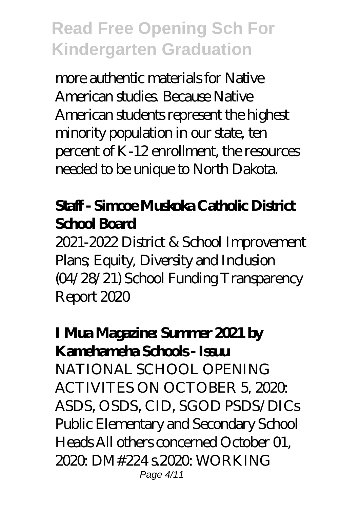more authentic materials for Native American studies. Because Native American students represent the highest minority population in our state, ten percent of K-12 enrollment, the resources needed to be unique to North Dakota.

### **Staff - Simcoe Muskoka Catholic District School Board**

2021-2022 District & School Improvement Plans; Equity, Diversity and Inclusion (04/28/21) School Funding Transparency Report 2020

### **I Mua Magazine: Summer 2021 by Kamehameha Schools - Issuu**

NATIONAL SCHOOL OPENING ACTIVITES ON OCTOBER 5, 2020 ASDS, OSDS, CID, SGOD PSDS/DICs Public Elementary and Secondary School Heads All others concerned October 01, 2020: DM#224 s.2020: WORKING Page 4/11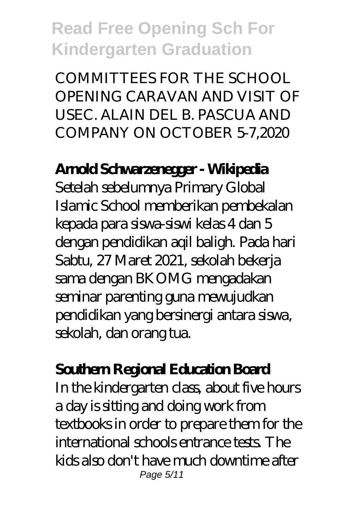COMMITTEES FOR THE SCHOOL OPENING CARAVAN AND VISIT OF USEC. ALAIN DEL B. PASCUA AND COMPANY ON OCTOBER 5-7,2020

#### **Arnold Schwarzenegger - Wikipedia**

Setelah sebelumnya Primary Global Islamic School memberikan pembekalan kepada para siswa-siswi kelas 4 dan 5 dengan pendidikan aqil baligh. Pada hari Sabtu, 27 Maret 2021, sekolah bekerja sama dengan BKOMG mengadakan seminar parenting guna mewujudkan pendidikan yang bersinergi antara siswa, sekolah, dan orang tua.

#### **Southern Regional Education Board**

In the kindergarten class, about five hours a day is sitting and doing work from textbooks in order to prepare them for the international schools entrance tests. The kids also don't have much downtime after Page 5/11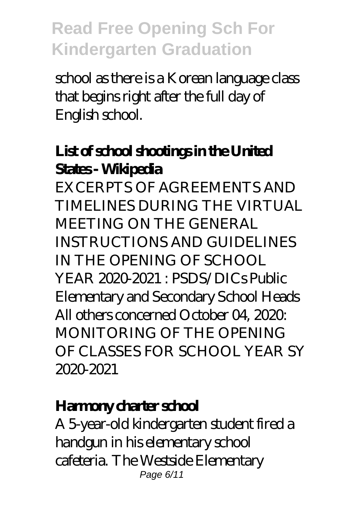school as there is a Korean language class that begins right after the full day of English school.

### **List of school shootings in the United States - Wikipedia**

EXCERPTS OF AGREEMENTS AND TIMELINES DURING THE VIRTUAL MEETING ON THE GENERAL INSTRUCTIONS AND GUIDELINES IN THE OPENING OF SCHOOL YEAR 2020-2021 · PSDS/DICs Public Elementary and Secondary School Heads All others concerned October 04, 2020: MONITORING OF THE OPENING OF CLASSES FOR SCHOOL YEAR SY 2020-2021

#### **Harmony charter school**

A 5-year-old kindergarten student fired a handgun in his elementary school cafeteria. The Westside Elementary Page 6/11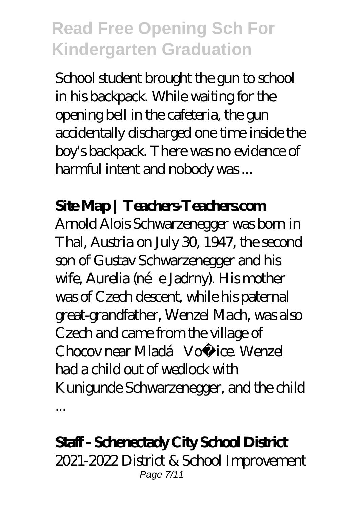School student brought the gun to school in his backpack. While waiting for the opening bell in the cafeteria, the gun accidentally discharged one time inside the boy's backpack. There was no evidence of harmful intent and nobody was ...

### **Site Map | Teachers-Teachers.com**

Arnold Alois Schwarzenegger was born in Thal, Austria on July 30, 1947, the second son of Gustav Schwarzenegger and his wife, Aurelia (née Jadrny). His mother was of Czech descent, while his paternal great-grandfather, Wenzel Mach, was also Czech and came from the village of Chocov near Mladá Vožice. Wenzel had a child out of wedlock with Kunigunde Schwarzenegger, and the child ...

#### **Staff - Schenectady City School District**

2021-2022 District & School Improvement Page 7/11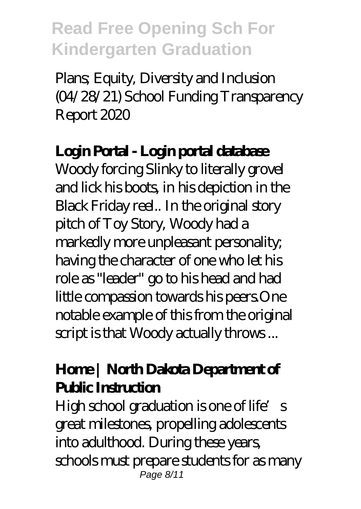Plans; Equity, Diversity and Inclusion (04/28/21) School Funding Transparency Report 2020

#### **Login Portal - Login portal database**

Woody forcing Slinky to literally grovel and lick his boots, in his depiction in the Black Friday reel.. In the original story pitch of Toy Story, Woody had a markedly more unpleasant personality; having the character of one who let his role as "leader" go to his head and had little compassion towards his peers.One notable example of this from the original script is that Woody actually throws ...

#### **Home | North Dakota Department of Public Instruction**

High school graduation is one of life's great milestones, propelling adolescents into adulthood. During these years, schools must prepare students for as many Page 8/11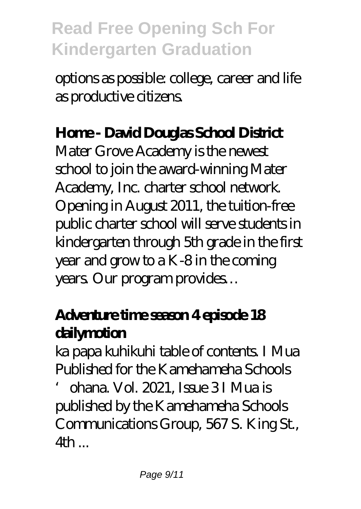options as possible: college, career and life as productive citizens.

### **Home - David Douglas School District**

Mater Grove Academy is the newest school to join the award-winning Mater Academy, Inc. charter school network. Opening in August 2011, the tuition-free public charter school will serve students in kindergarten through 5th grade in the first year and grow to a K-8 in the coming years. Our program provides…

### **Adventure time season 4 episode 18 dailymotion**

ka papa kuhikuhi table of contents. I Mua Published for the Kamehameha Schools

'ohana. Vol. 2021, Issue 3 I Mua is published by the Kamehameha Schools Communications Group, 567 S. King St., 4th ...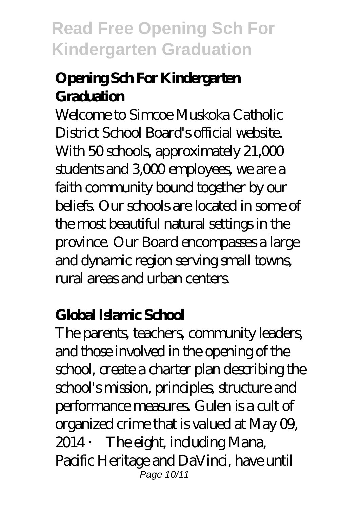### **Opening Sch For Kindergarten** Graduation

Welcome to Simcoe Muskoka Catholic District School Board's official website. With 50 schools, approximately 21,000 students and 3,000 employees, we are a faith community bound together by our beliefs. Our schools are located in some of the most beautiful natural settings in the province. Our Board encompasses a large and dynamic region serving small towns, rural areas and urban centers.

### **Global Islamic School**

The parents, teachers, community leaders, and those involved in the opening of the school, create a charter plan describing the school's mission, principles, structure and performance measures. Gulen is a cult of organized crime that is valued at May 09, 2014 · The eight, including Mana, Pacific Heritage and DaVinci, have until Page 10/11